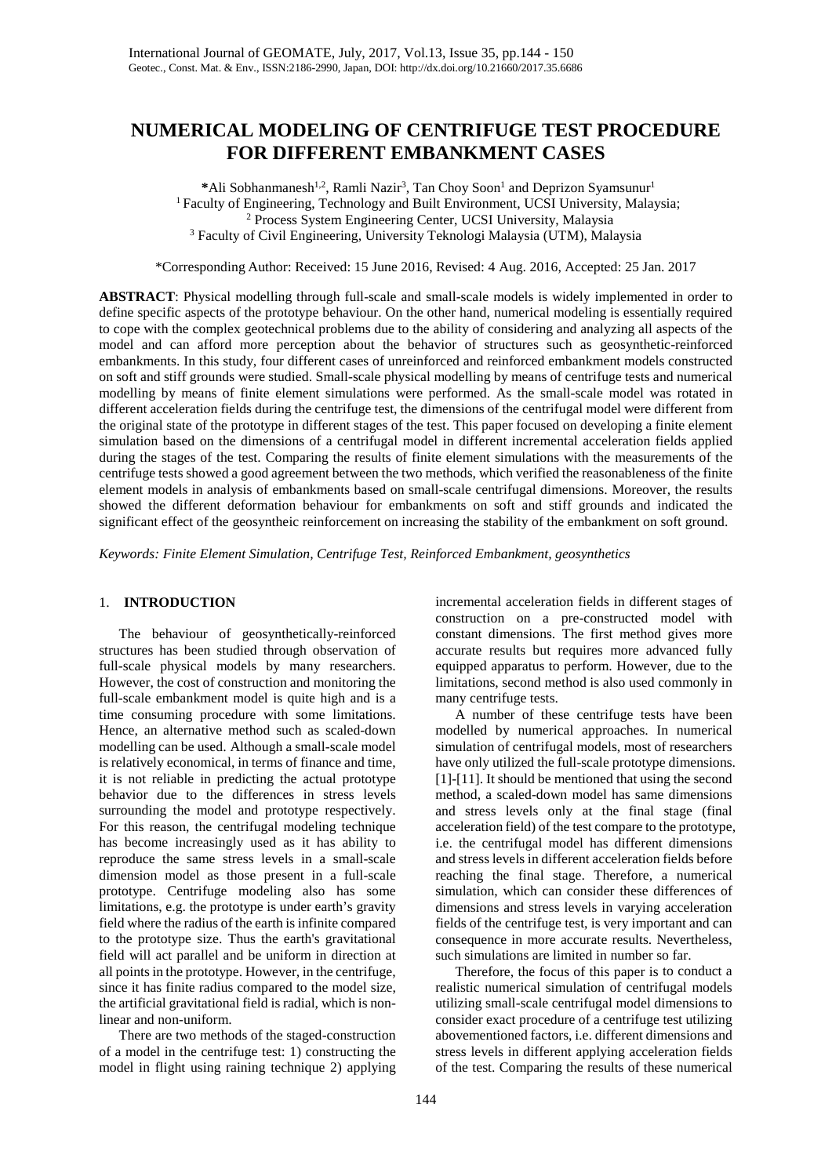# **NUMERICAL MODELING OF CENTRIFUGE TEST PROCEDURE FOR DIFFERENT EMBANKMENT CASES**

\*Ali Sobhanmanesh<sup>1,2</sup>, Ramli Nazir<sup>3</sup>, Tan Choy Soon<sup>1</sup> and Deprizon Syamsunur<sup>1</sup>  $<sup>1</sup>$  Faculty of Engineering, Technology and Built Environment, UCSI University, Malaysia;</sup> <sup>2</sup> Process System Engineering Center, UCSI University, Malaysia <sup>3</sup> Faculty of Civil Engineering, University Teknologi Malaysia (UTM), Malaysia

\*Corresponding Author: Received: 15 June 2016, Revised: 4 Aug. 2016, Accepted: 25 Jan. 2017

**ABSTRACT**: Physical modelling through full-scale and small-scale models is widely implemented in order to define specific aspects of the prototype behaviour. On the other hand, numerical modeling is essentially required to cope with the complex geotechnical problems due to the ability of considering and analyzing all aspects of the model and can afford more perception about the behavior of structures such as geosynthetic-reinforced embankments. In this study, four different cases of unreinforced and reinforced embankment models constructed on soft and stiff grounds were studied. Small-scale physical modelling by means of centrifuge tests and numerical modelling by means of finite element simulations were performed. As the small-scale model was rotated in different acceleration fields during the centrifuge test, the dimensions of the centrifugal model were different from the original state of the prototype in different stages of the test. This paper focused on developing a finite element simulation based on the dimensions of a centrifugal model in different incremental acceleration fields applied during the stages of the test. Comparing the results of finite element simulations with the measurements of the centrifuge tests showed a good agreement between the two methods, which verified the reasonableness of the finite element models in analysis of embankments based on small-scale centrifugal dimensions. Moreover, the results showed the different deformation behaviour for embankments on soft and stiff grounds and indicated the significant effect of the geosyntheic reinforcement on increasing the stability of the embankment on soft ground.

*Keywords: Finite Element Simulation, Centrifuge Test, Reinforced Embankment, geosynthetics* 

# 1. **INTRODUCTION**

The behaviour of geosynthetically-reinforced structures has been studied through observation of full-scale physical models by many researchers. However, the cost of construction and monitoring the full-scale embankment model is quite high and is a time consuming procedure with some limitations. Hence, an alternative method such as scaled-down modelling can be used. Although a small-scale model is relatively economical, in terms of finance and time, it is not reliable in predicting the actual prototype behavior due to the differences in stress levels surrounding the model and prototype respectively. For this reason, the centrifugal modeling technique has become increasingly used as it has ability to reproduce the same stress levels in a small-scale dimension model as those present in a full-scale prototype. Centrifuge modeling also has some limitations, e.g. the prototype is under earth's gravity field where the radius of the earth is infinite compared to the prototype size. Thus the earth's gravitational field will act parallel and be uniform in direction at all points in the prototype. However, in the centrifuge, since it has finite radius compared to the model size, the artificial gravitational field is radial, which is nonlinear and non-uniform.

There are two methods of the staged-construction of a model in the centrifuge test: 1) constructing the model in flight using raining technique 2) applying incremental acceleration fields in different stages of construction on a pre-constructed model with constant dimensions. The first method gives more accurate results but requires more advanced fully equipped apparatus to perform. However, due to the limitations, second method is also used commonly in many centrifuge tests.

A number of these centrifuge tests have been modelled by numerical approaches. In numerical simulation of centrifugal models, most of researchers have only utilized the full-scale prototype dimensions. [1]-[11]. It should be mentioned that using the second method, a scaled-down model has same dimensions and stress levels only at the final stage (final acceleration field) of the test compare to the prototype, i.e. the centrifugal model has different dimensions and stress levels in different acceleration fields before reaching the final stage. Therefore, a numerical simulation, which can consider these differences of dimensions and stress levels in varying acceleration fields of the centrifuge test, is very important and can consequence in more accurate results. Nevertheless, such simulations are limited in number so far.

Therefore, the focus of this paper is to conduct a realistic numerical simulation of centrifugal models utilizing small-scale centrifugal model dimensions to consider exact procedure of a centrifuge test utilizing abovementioned factors, i.e. different dimensions and stress levels in different applying acceleration fields of the test. Comparing the results of these numerical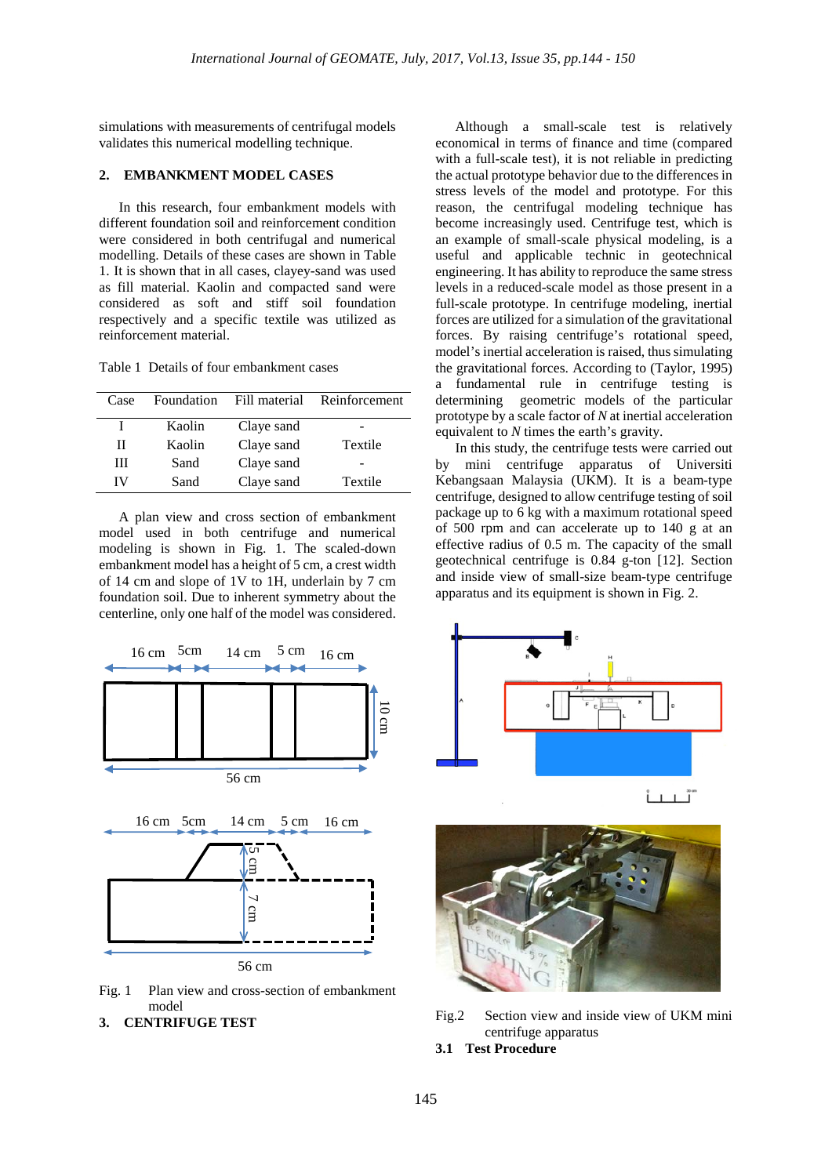simulations with measurements of centrifugal models validates this numerical modelling technique.

# **2. EMBANKMENT MODEL CASES**

In this research, four embankment models with different foundation soil and reinforcement condition were considered in both centrifugal and numerical modelling. Details of these cases are shown in Table 1. It is shown that in all cases, clayey-sand was used as fill material. Kaolin and compacted sand were considered as soft and stiff soil foundation respectively and a specific textile was utilized as reinforcement material.

Table 1 Details of four embankment cases

| Case |        |            | Foundation Fill material Reinforcement |
|------|--------|------------|----------------------------------------|
|      | Kaolin | Claye sand |                                        |
| Н    | Kaolin | Claye sand | Textile                                |
| Ш    | Sand   | Claye sand |                                        |
| IV   | Sand   | Claye sand | Textile                                |

A plan view and cross section of embankment model used in both centrifuge and numerical modeling is shown in Fig. 1. The scaled-down embankment model has a height of 5 cm, a crest width of 14 cm and slope of 1V to 1H, underlain by 7 cm foundation soil. Due to inherent symmetry about the centerline, only one half of the model was considered.



Fig. 1 Plan view and cross-section of embankment model



Although a small-scale test is relatively economical in terms of finance and time (compared with a full-scale test), it is not reliable in predicting the actual prototype behavior due to the differences in stress levels of the model and prototype. For this reason, the centrifugal modeling technique has become increasingly used. Centrifuge test, which is an example of small-scale physical modeling, is a useful and applicable technic in geotechnical engineering. It has ability to reproduce the same stress levels in a reduced-scale model as those present in a full-scale prototype. In centrifuge modeling, inertial forces are utilized for a simulation of the gravitational forces. By raising centrifuge's rotational speed, model's inertial acceleration is raised, thus simulating the gravitational forces. According to (Taylor, 1995) a fundamental rule in centrifuge testing is determining geometric models of the particular prototype by a scale factor of *N* at inertial acceleration equivalent to *N* times the earth's gravity.

In this study, the centrifuge tests were carried out by mini centrifuge apparatus of Universiti Kebangsaan Malaysia (UKM). It is a beam-type centrifuge, designed to allow centrifuge testing of soil package up to 6 kg with a maximum rotational speed of 500 rpm and can accelerate up to 140 g at an effective radius of 0.5 m. The capacity of the small geotechnical centrifuge is 0.84 g-ton [12]. Section and inside view of small-size beam-type centrifuge apparatus and its equipment is shown in Fig. 2.





Fig.2 Section view and inside view of UKM mini centrifuge apparatus

## **3.1 Test Procedure**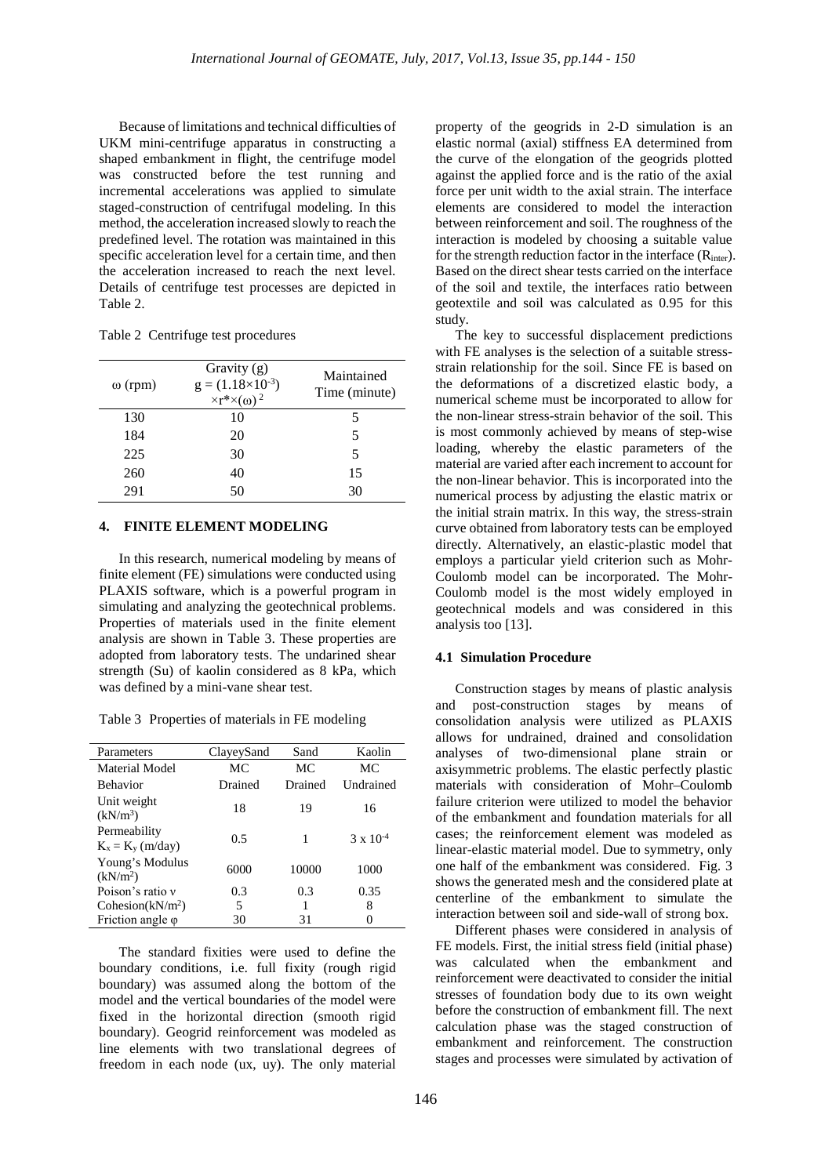Because of limitations and technical difficulties of UKM mini-centrifuge apparatus in constructing a shaped embankment in flight, the centrifuge model was constructed before the test running and incremental accelerations was applied to simulate staged-construction of centrifugal modeling. In this method, the acceleration increased slowly to reach the predefined level. The rotation was maintained in this specific acceleration level for a certain time, and then the acceleration increased to reach the next level. Details of centrifuge test processes are depicted in Table 2.

Table 2 Centrifuge test procedures

| $\omega$ (rpm) | Gravity (g)<br>$g = (1.18 \times 10^{-3})$<br>$\times r^* \times (\omega)^2$ | Maintained<br>Time (minute) |
|----------------|------------------------------------------------------------------------------|-----------------------------|
| 130            | 10                                                                           | 5                           |
| 184            | 20                                                                           | 5                           |
| 225            | 30                                                                           | 5                           |
| 260            | 40                                                                           | 15                          |
| 291            | 50                                                                           | 30                          |

# **4. FINITE ELEMENT MODELING**

In this research, numerical modeling by means of finite element (FE) simulations were conducted using PLAXIS software, which is a powerful program in simulating and analyzing the geotechnical problems. Properties of materials used in the finite element analysis are shown in Table 3. These properties are adopted from laboratory tests. The undarined shear strength (Su) of kaolin considered as 8 kPa, which was defined by a mini-vane shear test.

Table 3 Properties of materials in FE modeling

| Parameters                              | ClayeySand | Sand    | Kaolin             |
|-----------------------------------------|------------|---------|--------------------|
| Material Model                          | МC         | МC      | МC                 |
| <b>Behavior</b>                         | Drained    | Drained | Undrained          |
| Unit weight<br>$(kN/m^3)$               | 18         | 19      | 16                 |
| Permeability<br>$K_x = K_y (m/day)$     | 0.5        | 1       | $3 \times 10^{-4}$ |
| Young's Modulus<br>(kN/m <sup>2</sup> ) | 6000       | 10000   | 1000               |
| Poison's ratio y                        | 0.3        | 0.3     | 0.35               |
| Cohesion $(kN/m^2)$                     | 5          | 1       | 8                  |
| Friction angle $\varphi$                | 30         | 31      |                    |

The standard fixities were used to define the boundary conditions, i.e. full fixity (rough rigid boundary) was assumed along the bottom of the model and the vertical boundaries of the model were fixed in the horizontal direction (smooth rigid boundary). Geogrid reinforcement was modeled as line elements with two translational degrees of freedom in each node (ux, uy). The only material

property of the geogrids in 2-D simulation is an elastic normal (axial) stiffness EA determined from the curve of the elongation of the geogrids plotted against the applied force and is the ratio of the axial force per unit width to the axial strain. The interface elements are considered to model the interaction between reinforcement and soil. The roughness of the interaction is modeled by choosing a suitable value for the strength reduction factor in the interface  $(R<sub>inter</sub>)$ . Based on the direct shear tests carried on the interface of the soil and textile, the interfaces ratio between geotextile and soil was calculated as 0.95 for this study.

The key to successful displacement predictions with FE analyses is the selection of a suitable stressstrain relationship for the soil. Since FE is based on the deformations of a discretized elastic body, a numerical scheme must be incorporated to allow for the non-linear stress-strain behavior of the soil. This is most commonly achieved by means of step-wise loading, whereby the elastic parameters of the material are varied after each increment to account for the non-linear behavior. This is incorporated into the numerical process by adjusting the elastic matrix or the initial strain matrix. In this way, the stress-strain curve obtained from laboratory tests can be employed directly. Alternatively, an elastic-plastic model that employs a particular yield criterion such as Mohr-Coulomb model can be incorporated. The Mohr-Coulomb model is the most widely employed in geotechnical models and was considered in this analysis too [13].

#### **4.1 Simulation Procedure**

Construction stages by means of plastic analysis and post-construction stages by means of consolidation analysis were utilized as PLAXIS allows for undrained, drained and consolidation analyses of two-dimensional plane strain or axisymmetric problems. The elastic perfectly plastic materials with consideration of Mohr–Coulomb failure criterion were utilized to model the behavior of the embankment and foundation materials for all cases; the reinforcement element was modeled as linear-elastic material model. Due to symmetry, only one half of the embankment was considered. Fig. 3 shows the generated mesh and the considered plate at centerline of the embankment to simulate the interaction between soil and side-wall of strong box.

Different phases were considered in analysis of FE models. First, the initial stress field (initial phase) was calculated when the embankment and reinforcement were deactivated to consider the initial stresses of foundation body due to its own weight before the construction of embankment fill. The next calculation phase was the staged construction of embankment and reinforcement. The construction stages and processes were simulated by activation of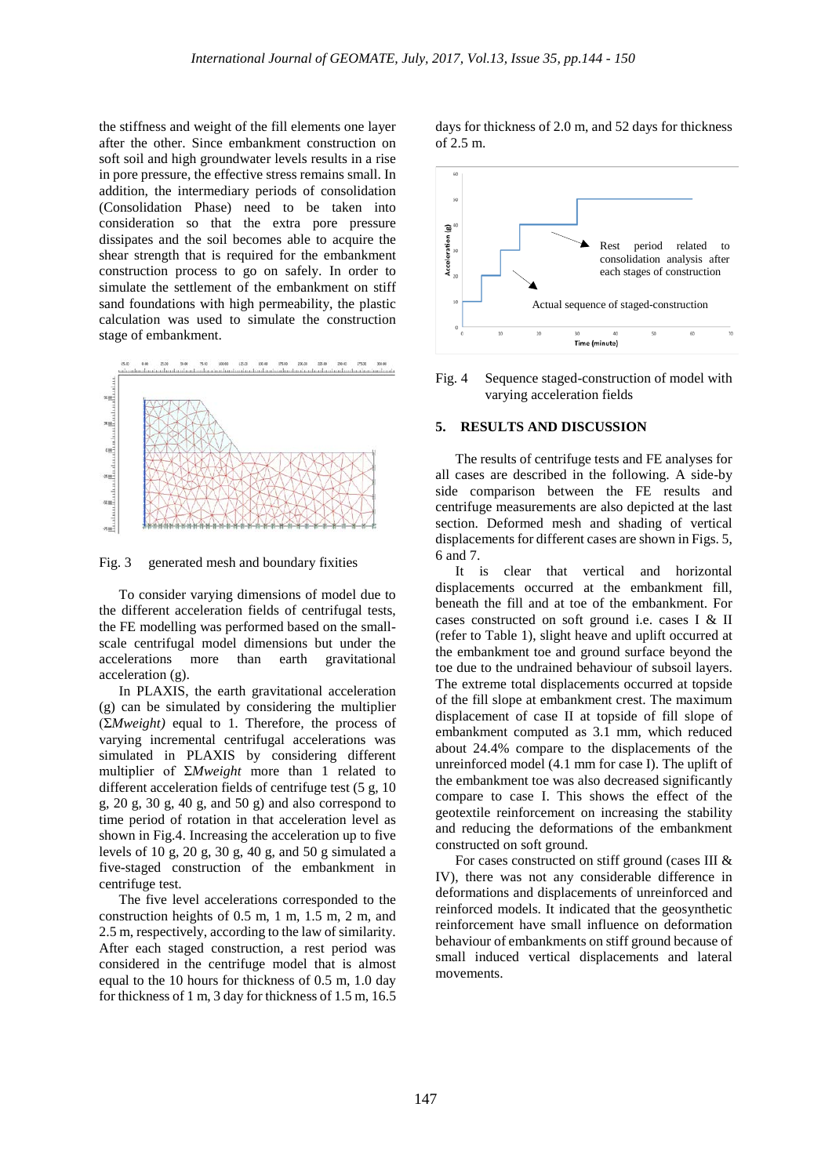the stiffness and weight of the fill elements one layer after the other. Since embankment construction on soft soil and high groundwater levels results in a rise in pore pressure, the effective stress remains small. In addition, the intermediary periods of consolidation (Consolidation Phase) need to be taken into consideration so that the extra pore pressure dissipates and the soil becomes able to acquire the shear strength that is required for the embankment construction process to go on safely. In order to simulate the settlement of the embankment on stiff sand foundations with high permeability, the plastic calculation was used to simulate the construction stage of embankment.



Fig. 3 generated mesh and boundary fixities

To consider varying dimensions of model due to the different acceleration fields of centrifugal tests, the FE modelling was performed based on the smallscale centrifugal model dimensions but under the accelerations more than earth gravitational acceleration (g).

In PLAXIS, the earth gravitational acceleration (g) can be simulated by considering the multiplier (Σ*Mweight)* equal to 1*.* Therefore*,* the process of varying incremental centrifugal accelerations was simulated in PLAXIS by considering different multiplier of Σ*Mweight* more than 1 related to different acceleration fields of centrifuge test (5 g, 10 g,  $20$  g,  $30$  g,  $40$  g, and  $50$  g) and also correspond to time period of rotation in that acceleration level as shown in Fig.4. Increasing the acceleration up to five levels of 10 g, 20 g, 30 g, 40 g, and 50 g simulated a five-staged construction of the embankment in centrifuge test.

The five level accelerations corresponded to the construction heights of 0.5 m, 1 m, 1.5 m, 2 m, and 2.5 m, respectively, according to the law of similarity. After each staged construction, a rest period was considered in the centrifuge model that is almost equal to the 10 hours for thickness of 0.5 m, 1.0 day for thickness of 1 m, 3 day for thickness of 1.5 m, 16.5

days for thickness of 2.0 m, and 52 days for thickness of 2.5 m.



Fig. 4 Sequence staged-construction of model with varying acceleration fields

#### **5. RESULTS AND DISCUSSION**

The results of centrifuge tests and FE analyses for all cases are described in the following. A side-by side comparison between the FE results and centrifuge measurements are also depicted at the last section. Deformed mesh and shading of vertical displacements for different cases are shown in Figs. 5, 6 and 7.

It is clear that vertical and horizontal displacements occurred at the embankment fill, beneath the fill and at toe of the embankment. For cases constructed on soft ground i.e. cases I & II (refer to Table 1), slight heave and uplift occurred at the embankment toe and ground surface beyond the toe due to the undrained behaviour of subsoil layers. The extreme total displacements occurred at topside of the fill slope at embankment crest. The maximum displacement of case II at topside of fill slope of embankment computed as 3.1 mm, which reduced about 24.4% compare to the displacements of the unreinforced model (4.1 mm for case I). The uplift of the embankment toe was also decreased significantly compare to case I. This shows the effect of the geotextile reinforcement on increasing the stability and reducing the deformations of the embankment constructed on soft ground.

For cases constructed on stiff ground (cases III & IV), there was not any considerable difference in deformations and displacements of unreinforced and reinforced models. It indicated that the geosynthetic reinforcement have small influence on deformation behaviour of embankments on stiff ground because of small induced vertical displacements and lateral movements.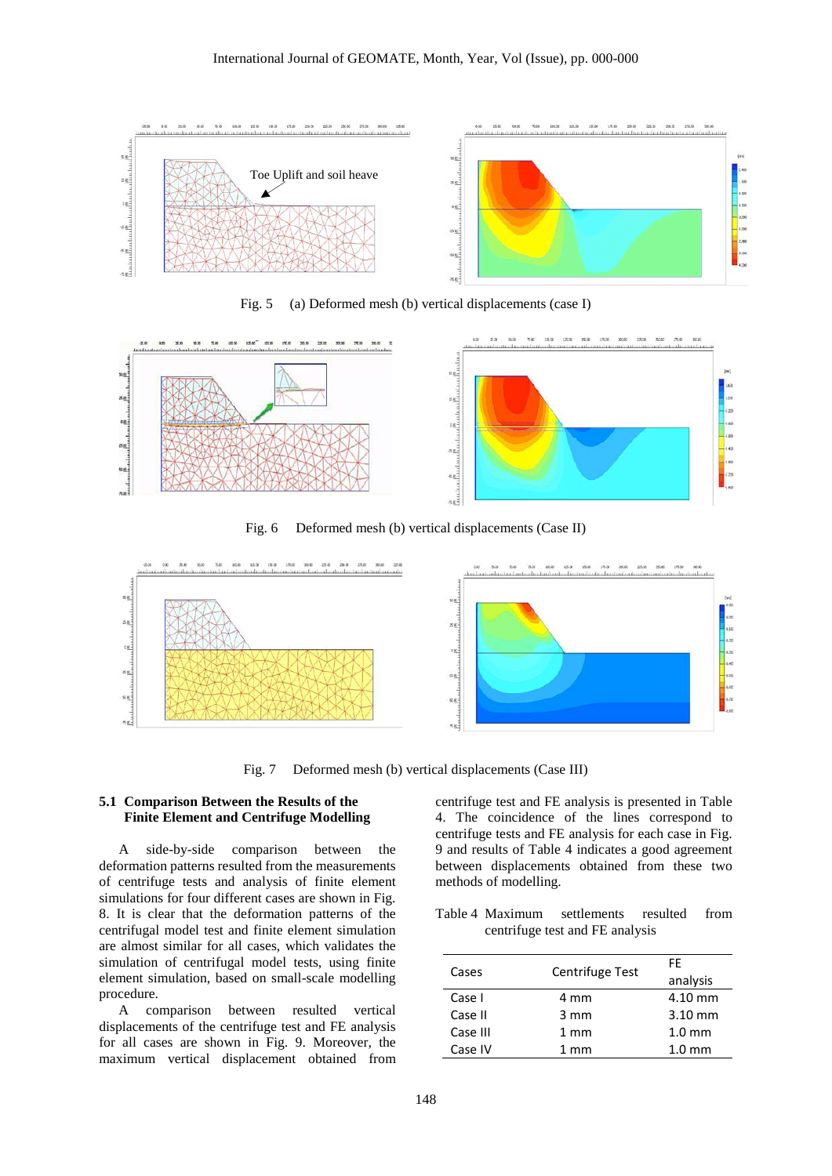

Fig. 5 (a) Deformed mesh (b) vertical displacements (case I)



Fig. 6 Deformed mesh (b) vertical displacements (Case II)



Fig. 7 Deformed mesh (b) vertical displacements (Case III)

### **5.1 Comparison Between the Results of the Finite Element and Centrifuge Modelling**

A side-by-side comparison between the deformation patterns resulted from the measurements of centrifuge tests and analysis of finite element simulations for four different cases are shown in Fig. 8. It is clear that the deformation patterns of the centrifugal model test and finite element simulation are almost similar for all cases, which validates the simulation of centrifugal model tests, using finite element simulation, based on small-scale modelling procedure.

A comparison between resulted vertical displacements of the centrifuge test and FE analysis for all cases are shown in Fig. 9. Moreover, the maximum vertical displacement obtained from centrifuge test and FE analysis is presented in Table 4. The coincidence of the lines correspond to centrifuge tests and FE analysis for each case in Fig. 9 and results of Table 4 indicates a good agreement between displacements obtained from these two methods of modelling.

Table 4 Maximum settlements resulted from centrifuge test and FE analysis

|          |                 | FF                |
|----------|-----------------|-------------------|
| Cases    | Centrifuge Test | analysis          |
| Case I   | 4 mm            | 4.10 mm           |
| Case II  | $3 \text{ mm}$  | $3.10 \text{ mm}$ |
| Case III | $1 \text{ mm}$  | $1.0 \text{ mm}$  |
| Case IV  | $1 \text{ mm}$  | $1.0 \text{ mm}$  |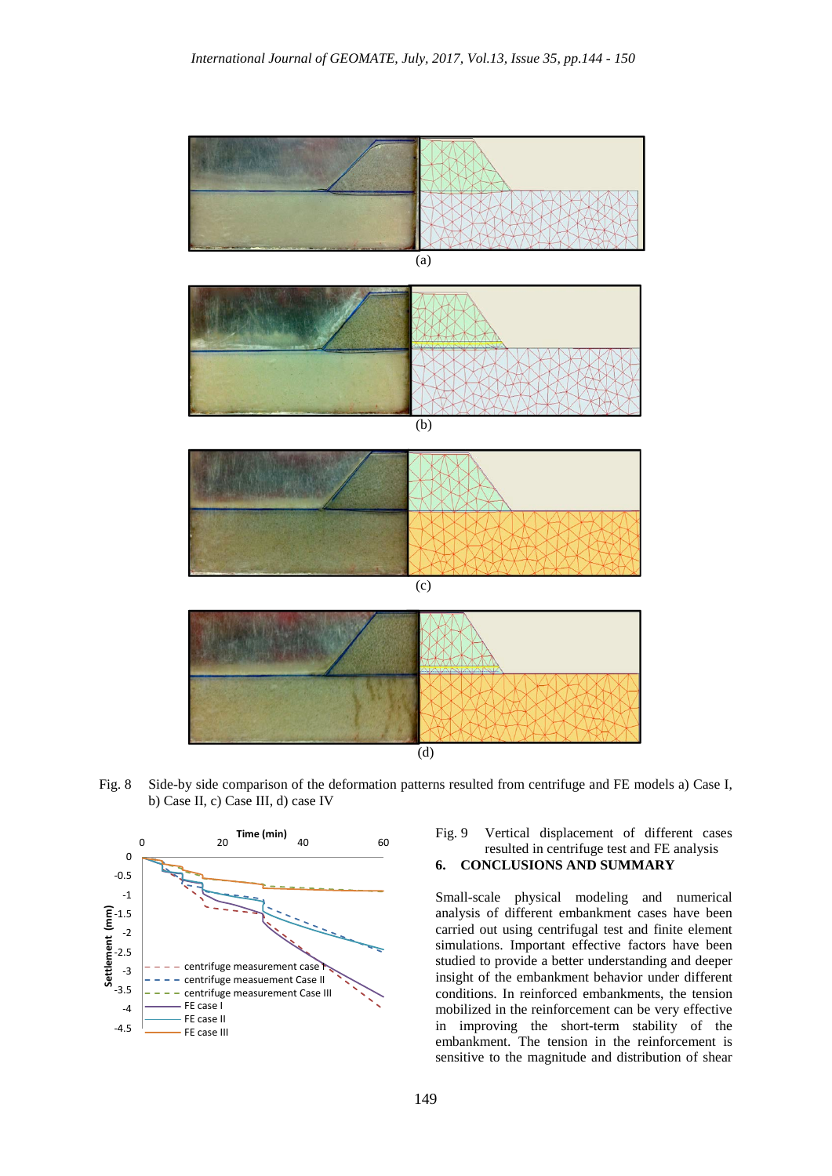

Fig. 8 Side-by side comparison of the deformation patterns resulted from centrifuge and FE models a) Case I, b) Case II, c) Case III, d) case IV



# Fig. 9 Vertical displacement of different cases resulted in centrifuge test and FE analysis

## **6. CONCLUSIONS AND SUMMARY**

Small-scale physical modeling and numerical analysis of different embankment cases have been carried out using centrifugal test and finite element simulations. Important effective factors have been studied to provide a better understanding and deeper insight of the embankment behavior under different conditions. In reinforced embankments, the tension mobilized in the reinforcement can be very effective in improving the short-term stability of the embankment. The tension in the reinforcement is sensitive to the magnitude and distribution of shear